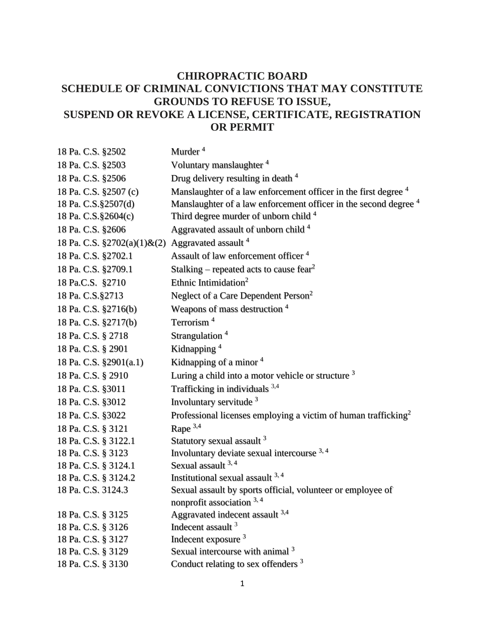## **CHIROPRACTIC BOARD SCHEDULE OF CRIMINAL CONVICTIONS THAT MAY CONSTITUTE GROUNDS TO REFUSE TO ISSUE, SUSPEND OR REVOKE A LICENSE, CERTIFICATE, REGISTRATION OR PERMIT**

| 18 Pa. C.S. §2502                                           | Murder <sup>4</sup>                                                         |
|-------------------------------------------------------------|-----------------------------------------------------------------------------|
| 18 Pa. C.S. §2503                                           | Voluntary manslaughter <sup>4</sup>                                         |
| 18 Pa. C.S. §2506                                           | Drug delivery resulting in death <sup>4</sup>                               |
| 18 Pa. C.S. §2507 (c)                                       | Manslaughter of a law enforcement officer in the first degree <sup>4</sup>  |
| 18 Pa. C.S. § 2507(d)                                       | Manslaughter of a law enforcement officer in the second degree <sup>4</sup> |
| 18 Pa. C.S. § 2604(c)                                       | Third degree murder of unborn child 4                                       |
| 18 Pa. C.S. §2606                                           | Aggravated assault of unborn child <sup>4</sup>                             |
| 18 Pa. C.S. §2702(a)(1)&(2) Aggravated assault <sup>4</sup> |                                                                             |
| 18 Pa. C.S. §2702.1                                         | Assault of law enforcement officer <sup>4</sup>                             |
| 18 Pa. C.S. §2709.1                                         | Stalking – repeated acts to cause fear <sup>2</sup>                         |
| 18 Pa.C.S. §2710                                            | Ethnic Intimidation <sup>2</sup>                                            |
| 18 Pa. C.S.§2713                                            | Neglect of a Care Dependent Person <sup>2</sup>                             |
| 18 Pa. C.S. §2716(b)                                        | Weapons of mass destruction 4                                               |
| 18 Pa. C.S. §2717(b)                                        | Terrorism <sup>4</sup>                                                      |
| 18 Pa. C.S. § 2718                                          | Strangulation <sup>4</sup>                                                  |
| 18 Pa. C.S. § 2901                                          | Kidnapping <sup>4</sup>                                                     |
| 18 Pa. C.S. §2901(a.1)                                      | Kidnapping of a minor $4$                                                   |
| 18 Pa. C.S. § 2910                                          | Luring a child into a motor vehicle or structure <sup>3</sup>               |
| 18 Pa. C.S. §3011                                           | Trafficking in individuals $3,4$                                            |
| 18 Pa. C.S. §3012                                           | Involuntary servitude <sup>3</sup>                                          |
| 18 Pa. C.S. §3022                                           | Professional licenses employing a victim of human trafficking <sup>2</sup>  |
| 18 Pa. C.S. § 3121                                          | Rape $3,4$                                                                  |
| 18 Pa. C.S. § 3122.1                                        | Statutory sexual assault 3                                                  |
| 18 Pa. C.S. § 3123                                          | Involuntary deviate sexual intercourse 3,4                                  |
| 18 Pa. C.S. § 3124.1                                        | Sexual assault 3, 4                                                         |
| 18 Pa. C.S. § 3124.2                                        | Institutional sexual assault $3, 4$                                         |
| 18 Pa. C.S. 3124.3                                          | Sexual assault by sports official, volunteer or employee of                 |
|                                                             | nonprofit association $3, 4$                                                |
| 18 Pa. C.S. § 3125                                          | Aggravated indecent assault 3,4                                             |
| 18 Pa. C.S. § 3126                                          | Indecent assault <sup>3</sup>                                               |
| 18 Pa. C.S. § 3127                                          | Indecent exposure <sup>3</sup>                                              |
| 18 Pa. C.S. § 3129                                          | Sexual intercourse with animal 3                                            |
| 18 Pa. C.S. § 3130                                          | Conduct relating to sex offenders <sup>3</sup>                              |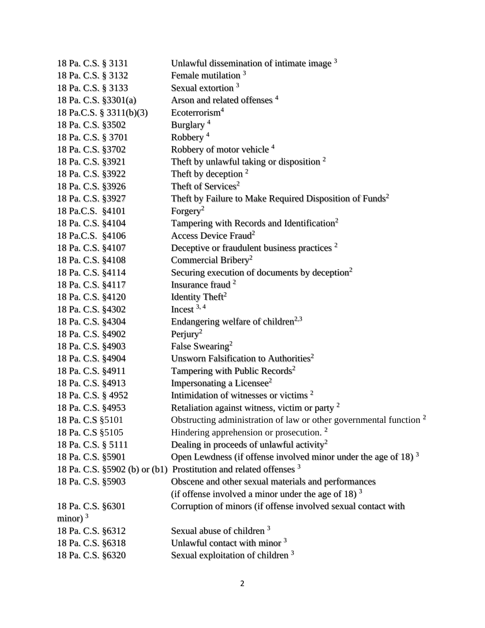| 18 Pa. C.S. § 3131      | Unlawful dissemination of intimate image 3                                    |
|-------------------------|-------------------------------------------------------------------------------|
| 18 Pa. C.S. § 3132      | Female mutilation 3                                                           |
| 18 Pa. C.S. § 3133      | Sexual extortion <sup>3</sup>                                                 |
| 18 Pa. C.S. §3301(a)    | Arson and related offenses <sup>4</sup>                                       |
| 18 Pa.C.S. § 3311(b)(3) | Ecoterrorism <sup>4</sup>                                                     |
| 18 Pa. C.S. §3502       | Burglary <sup>4</sup>                                                         |
| 18 Pa. C.S. § 3701      | Robbery <sup>4</sup>                                                          |
| 18 Pa. C.S. §3702       | Robbery of motor vehicle <sup>4</sup>                                         |
| 18 Pa. C.S. §3921       | Theft by unlawful taking or disposition $2$                                   |
| 18 Pa. C.S. §3922       | Theft by deception $2$                                                        |
| 18 Pa. C.S. §3926       | Theft of Services <sup>2</sup>                                                |
| 18 Pa. C.S. §3927       | Theft by Failure to Make Required Disposition of Funds <sup>2</sup>           |
| 18 Pa.C.S. §4101        | Forgery <sup>2</sup>                                                          |
| 18 Pa. C.S. §4104       | Tampering with Records and Identification <sup>2</sup>                        |
| 18 Pa.C.S. §4106        | Access Device Fraud <sup>2</sup>                                              |
| 18 Pa. C.S. §4107       | Deceptive or fraudulent business practices <sup>2</sup>                       |
| 18 Pa. C.S. §4108       | Commercial Bribery <sup>2</sup>                                               |
| 18 Pa. C.S. §4114       | Securing execution of documents by deception <sup>2</sup>                     |
| 18 Pa. C.S. §4117       | Insurance fraud <sup>2</sup>                                                  |
| 18 Pa. C.S. §4120       | Identity Theft <sup>2</sup>                                                   |
| 18 Pa. C.S. §4302       | Incest $3, 4$                                                                 |
| 18 Pa. C.S. §4304       | Endangering welfare of children <sup>2,3</sup>                                |
| 18 Pa. C.S. §4902       | Perjury <sup>2</sup>                                                          |
| 18 Pa. C.S. §4903       | False Swearing <sup>2</sup>                                                   |
| 18 Pa. C.S. §4904       | Unsworn Falsification to Authorities <sup>2</sup>                             |
| 18 Pa. C.S. §4911       | Tampering with Public Records <sup>2</sup>                                    |
| 18 Pa. C.S. §4913       | Impersonating a Licensee <sup>2</sup>                                         |
| 18 Pa. C.S. § 4952      | Intimidation of witnesses or victims <sup>2</sup>                             |
| 18 Pa. C.S. §4953       | Retaliation against witness, victim or party <sup>2</sup>                     |
| 18 Pa. C.S §5101        | Obstructing administration of law or other governmental function <sup>2</sup> |
| 18 Pa. C.S §5105        | Hindering apprehension or prosecution. <sup>2</sup>                           |
| 18 Pa. C.S. § 5111      | Dealing in proceeds of unlawful activity <sup>2</sup>                         |
| 18 Pa. C.S. §5901       | Open Lewdness (if offense involved minor under the age of 18) $3$             |
|                         | 18 Pa. C.S. §5902 (b) or (b1) Prostitution and related offenses <sup>3</sup>  |
| 18 Pa. C.S. §5903       | Obscene and other sexual materials and performances                           |
|                         | (if offense involved a minor under the age of 18) $3$                         |
| 18 Pa. C.S. §6301       | Corruption of minors (if offense involved sexual contact with                 |
| minor) $3$              |                                                                               |
| 18 Pa. C.S. §6312       | Sexual abuse of children <sup>3</sup>                                         |
| 18 Pa. C.S. §6318       | Unlawful contact with minor 3                                                 |
| 18 Pa. C.S. §6320       | Sexual exploitation of children <sup>3</sup>                                  |
|                         |                                                                               |